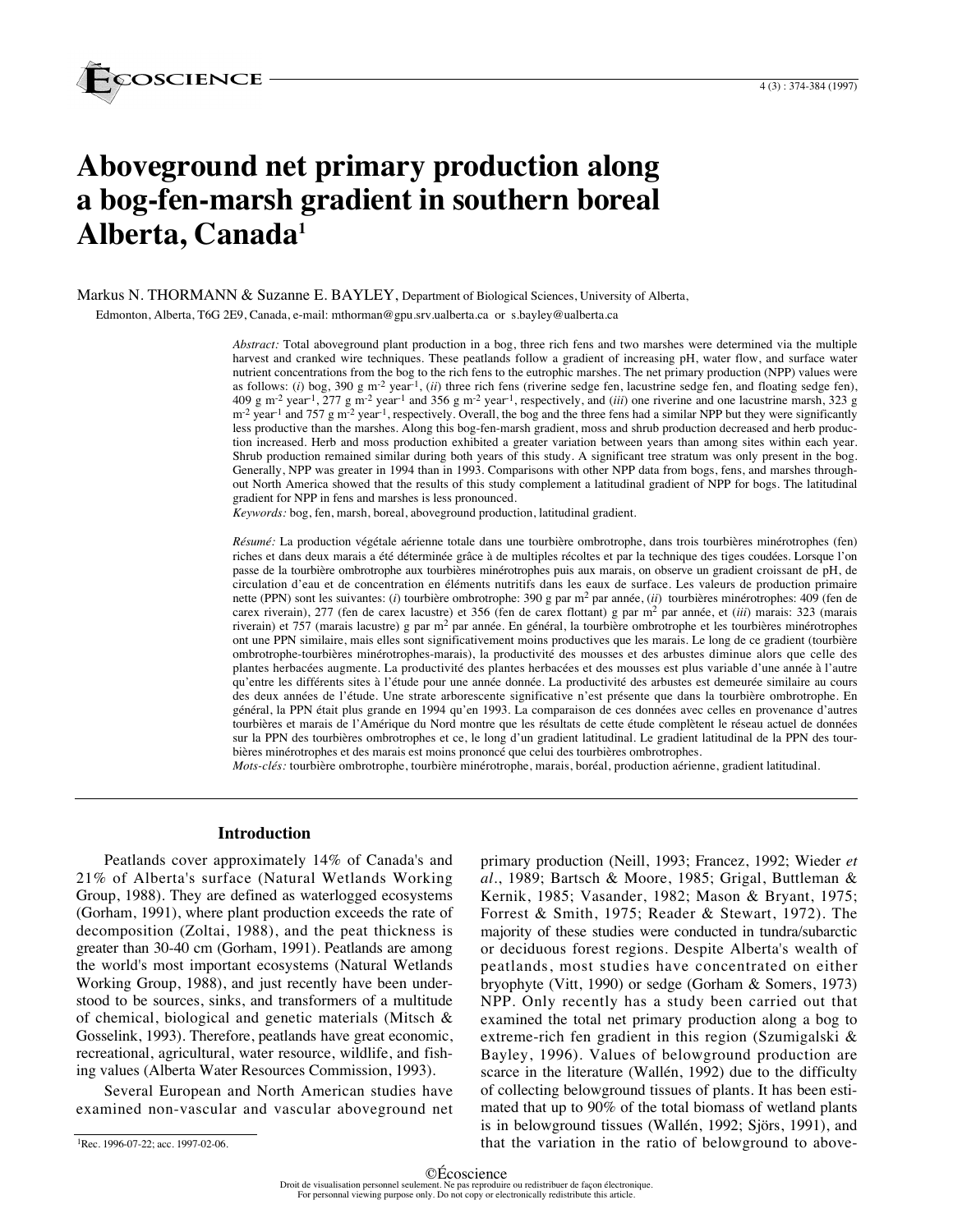

# **Aboveground net primary production along a bog-fen-marsh gradient in southern boreal Alberta, Canada1**

Markus N. THORMANN & Suzanne E. BAYLEY, Department of Biological Sciences, University of Alberta, Edmonton, Alberta, T6G 2E9, Canada, e-mail: mthorman@gpu.srv.ualberta.ca or s.bayley@ualberta.ca

> *Abstract:* Total aboveground plant production in a bog, three rich fens and two marshes were determined via the multiple harvest and cranked wire techniques. These peatlands follow a gradient of increasing pH, water flow, and surface water nutrient concentrations from the bog to the rich fens to the eutrophic marshes. The net primary production (NPP) values were as follows: (*i*) bog, 390 g m<sup>-2</sup> year<sup>-1</sup>, (*ii*) three rich fens (riverine sedge fen, lacustrine sedge fen, and floating sedge fen), 409 g m-2 year-1, 277 g m-2 year-1 and 356 g m-2 year-1, respectively, and (*iii*) one riverine and one lacustrine marsh, 323 g  $m<sup>2</sup>$  year<sup>-1</sup> and 757 g m<sup>-2</sup> year<sup>-1</sup>, respectively. Overall, the bog and the three fens had a similar NPP but they were significantly less productive than the marshes. Along this bog-fen-marsh gradient, moss and shrub production decreased and herb production increased. Herb and moss production exhibited a greater variation between years than among sites within each year. Shrub production remained similar during both years of this study. A significant tree stratum was only present in the bog. Generally, NPP was greater in 1994 than in 1993. Comparisons with other NPP data from bogs, fens, and marshes throughout North America showed that the results of this study complement a latitudinal gradient of NPP for bogs. The latitudinal gradient for NPP in fens and marshes is less pronounced.

*Keywords:* bog, fen, marsh, boreal, aboveground production, latitudinal gradient.

*Résumé:* La production végétale aérienne totale dans une tourbière ombrotrophe, dans trois tourbières minérotrophes (fen) riches et dans deux marais a été déterminée grâce à de multiples récoltes et par la technique des tiges coudées. Lorsque l'on passe de la tourbière ombrotrophe aux tourbières minérotrophes puis aux marais, on observe un gradient croissant de pH, de circulation d'eau et de concentration en éléments nutritifs dans les eaux de surface. Les valeurs de production primaire nette (PPN) sont les suivantes: (*i*) tourbière ombrotrophe: 390 g par m2 par année, (*ii*) tourbières minérotrophes: 409 (fen de carex riverain), 277 (fen de carex lacustre) et 356 (fen de carex flottant) g par m2 par année, et (*iii*) marais: 323 (marais riverain) et 757 (marais lacustre) g par m<sup>2</sup> par année. En général, la tourbière ombrotrophe et les tourbières minérotrophes ont une PPN similaire, mais elles sont significativement moins productives que les marais. Le long de ce gradient (tourbière ombrotrophe-tourbières minérotrophes-marais), la productivité des mousses et des arbustes diminue alors que celle des plantes herbacées augmente. La productivité des plantes herbacées et des mousses est plus variable d'une année à l'autre qu'entre les différents sites à l'étude pour une année donnée. La productivité des arbustes est demeurée similaire au cours des deux années de l'étude. Une strate arborescente significative n'est présente que dans la tourbière ombrotrophe. En général, la PPN était plus grande en 1994 qu'en 1993. La comparaison de ces données avec celles en provenance d'autres tourbières et marais de l'Amérique du Nord montre que les résultats de cette étude complètent le réseau actuel de données sur la PPN des tourbières ombrotrophes et ce, le long d'un gradient latitudinal. Le gradient latitudinal de la PPN des tourbières minérotrophes et des marais est moins prononcé que celui des tourbières ombrotrophes.

*Mots-clés:* tourbière ombrotrophe, tourbière minérotrophe, marais, boréal, production aérienne, gradient latitudinal.

#### **Introduction**

Peatlands cover approximately 14% of Canada's and 21% of Alberta's surface (Natural Wetlands Working Group, 1988). They are defined as waterlogged ecosystems (Gorham, 1991), where plant production exceeds the rate of decomposition (Zoltai, 1988), and the peat thickness is greater than 30-40 cm (Gorham, 1991). Peatlands are among the world's most important ecosystems (Natural Wetlands Working Group, 1988), and just recently have been understood to be sources, sinks, and transformers of a multitude of chemical, biological and genetic materials (Mitsch & Gosselink, 1993). Therefore, peatlands have great economic, recreational, agricultural, water resource, wildlife, and fishing values (Alberta Water Resources Commission, 1993).

Several European and North American studies have examined non-vascular and vascular aboveground net primary production (Neill, 1993; Francez, 1992; Wieder *et al.*, 1989; Bartsch & Moore, 1985; Grigal, Buttleman & Kernik, 1985; Vasander, 1982; Mason & Bryant, 1975; Forrest & Smith, 1975; Reader & Stewart, 1972). The majority of these studies were conducted in tundra/subarctic or deciduous forest regions. Despite Alberta's wealth of peatlands, most studies have concentrated on either bryophyte (Vitt, 1990) or sedge (Gorham & Somers, 1973) NPP. Only recently has a study been carried out that examined the total net primary production along a bog to extreme-rich fen gradient in this region (Szumigalski & Bayley, 1996). Values of belowground production are scarce in the literature (Wallén, 1992) due to the difficulty of collecting belowground tissues of plants. It has been estimated that up to 90% of the total biomass of wetland plants is in belowground tissues (Wallén, 1992; Sjörs, 1991), and that the variation in the ratio of belowground to above-

<sup>&</sup>lt;sup>1</sup>Rec. 1996-07-22; acc. 1997-02-06.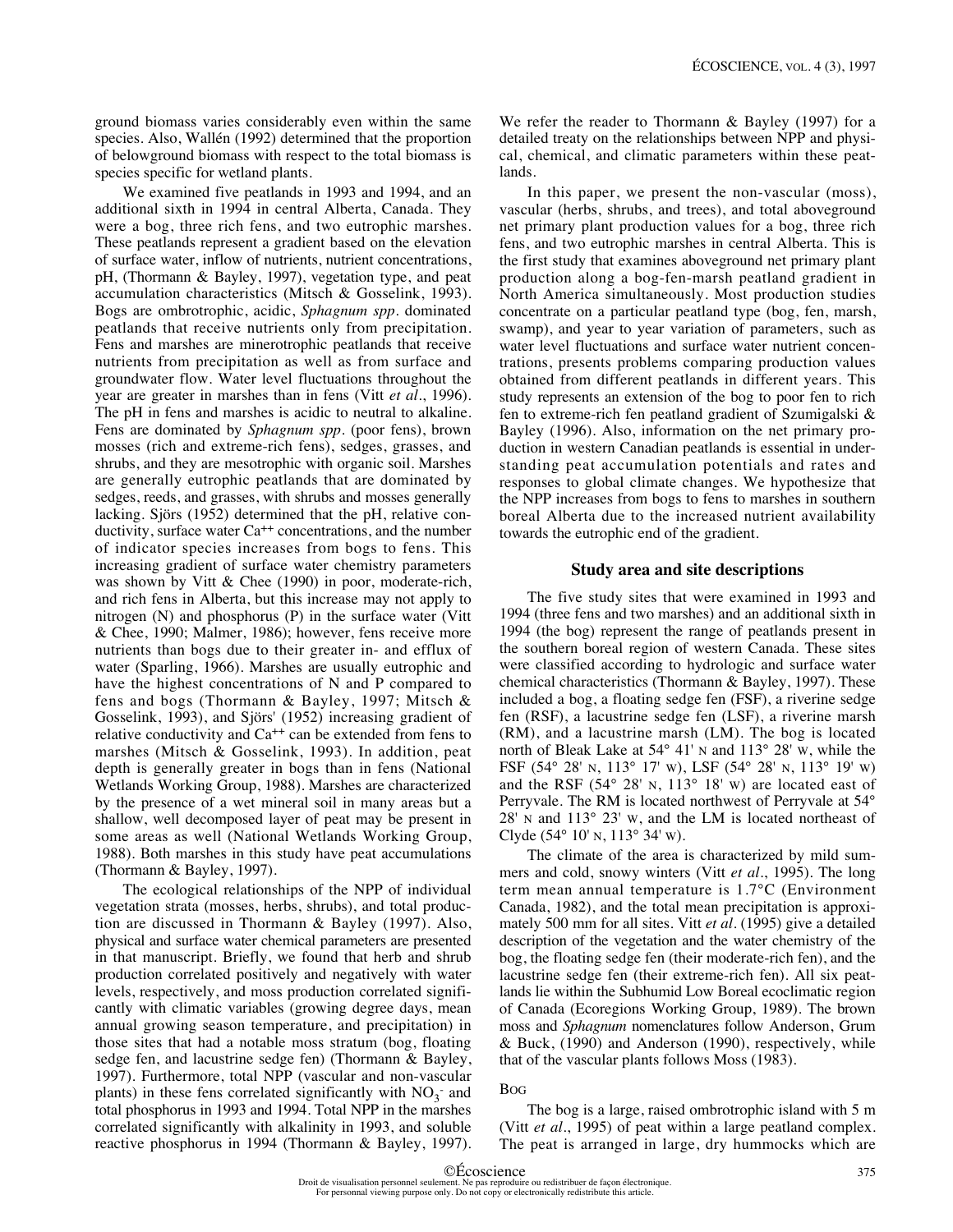ground biomass varies considerably even within the same species. Also, Wallén (1992) determined that the proportion of belowground biomass with respect to the total biomass is species specific for wetland plants.

We examined five peatlands in 1993 and 1994, and an additional sixth in 1994 in central Alberta, Canada. They were a bog, three rich fens, and two eutrophic marshes. These peatlands represent a gradient based on the elevation of surface water, inflow of nutrients, nutrient concentrations, pH, (Thormann & Bayley, 1997), vegetation type, and peat accumulation characteristics (Mitsch & Gosselink, 1993). Bogs are ombrotrophic, acidic, *Sphagnum spp.* dominated peatlands that receive nutrients only from precipitation. Fens and marshes are minerotrophic peatlands that receive nutrients from precipitation as well as from surface and groundwater flow. Water level fluctuations throughout the year are greater in marshes than in fens (Vitt *et al.*, 1996). The pH in fens and marshes is acidic to neutral to alkaline. Fens are dominated by *Sphagnum spp.* (poor fens), brown mosses (rich and extreme-rich fens), sedges, grasses, and shrubs, and they are mesotrophic with organic soil. Marshes are generally eutrophic peatlands that are dominated by sedges, reeds, and grasses, with shrubs and mosses generally lacking. Sjörs (1952) determined that the pH, relative conductivity, surface water Ca<sup>++</sup> concentrations, and the number of indicator species increases from bogs to fens. This increasing gradient of surface water chemistry parameters was shown by Vitt & Chee (1990) in poor, moderate-rich, and rich fens in Alberta, but this increase may not apply to nitrogen (N) and phosphorus (P) in the surface water (Vitt & Chee, 1990; Malmer, 1986); however, fens receive more nutrients than bogs due to their greater in- and efflux of water (Sparling, 1966). Marshes are usually eutrophic and have the highest concentrations of N and P compared to fens and bogs (Thormann & Bayley, 1997; Mitsch & Gosselink, 1993), and Sjörs' (1952) increasing gradient of relative conductivity and  $Ca^{++}$  can be extended from fens to marshes (Mitsch & Gosselink, 1993). In addition, peat depth is generally greater in bogs than in fens (National Wetlands Working Group, 1988). Marshes are characterized by the presence of a wet mineral soil in many areas but a shallow, well decomposed layer of peat may be present in some areas as well (National Wetlands Working Group, 1988). Both marshes in this study have peat accumulations (Thormann & Bayley, 1997).

The ecological relationships of the NPP of individual vegetation strata (mosses, herbs, shrubs), and total production are discussed in Thormann & Bayley (1997). Also, physical and surface water chemical parameters are presented in that manuscript. Briefly, we found that herb and shrub production correlated positively and negatively with water levels, respectively, and moss production correlated significantly with climatic variables (growing degree days, mean annual growing season temperature, and precipitation) in those sites that had a notable moss stratum (bog, floating sedge fen, and lacustrine sedge fen) (Thormann & Bayley, 1997). Furthermore, total NPP (vascular and non-vascular plants) in these fens correlated significantly with  $NO_3^-$  and total phosphorus in 1993 and 1994. Total NPP in the marshes correlated significantly with alkalinity in 1993, and soluble reactive phosphorus in 1994 (Thormann & Bayley, 1997).

We refer the reader to Thormann & Bayley (1997) for a detailed treaty on the relationships between NPP and physical, chemical, and climatic parameters within these peatlands.

In this paper, we present the non-vascular (moss), vascular (herbs, shrubs, and trees), and total aboveground net primary plant production values for a bog, three rich fens, and two eutrophic marshes in central Alberta. This is the first study that examines aboveground net primary plant production along a bog-fen-marsh peatland gradient in North America simultaneously. Most production studies concentrate on a particular peatland type (bog, fen, marsh, swamp), and year to year variation of parameters, such as water level fluctuations and surface water nutrient concentrations, presents problems comparing production values obtained from different peatlands in different years. This study represents an extension of the bog to poor fen to rich fen to extreme-rich fen peatland gradient of Szumigalski & Bayley (1996). Also, information on the net primary production in western Canadian peatlands is essential in understanding peat accumulation potentials and rates and responses to global climate changes. We hypothesize that the NPP increases from bogs to fens to marshes in southern boreal Alberta due to the increased nutrient availability towards the eutrophic end of the gradient.

#### **Study area and site descriptions**

The five study sites that were examined in 1993 and 1994 (three fens and two marshes) and an additional sixth in 1994 (the bog) represent the range of peatlands present in the southern boreal region of western Canada. These sites were classified according to hydrologic and surface water chemical characteristics (Thormann & Bayley, 1997). These included a bog, a floating sedge fen (FSF), a riverine sedge fen (RSF), a lacustrine sedge fen (LSF), a riverine marsh (RM), and a lacustrine marsh (LM). The bog is located north of Bleak Lake at 54° 41' N and 113° 28' W, while the FSF (54° 28' N, 113° 17' W), LSF (54° 28' N, 113° 19' W) and the RSF (54° 28' N, 113° 18' W) are located east of Perryvale. The RM is located northwest of Perryvale at 54° 28' N and 113° 23' W, and the LM is located northeast of Clyde (54° 10' N, 113° 34' W).

The climate of the area is characterized by mild summers and cold, snowy winters (Vitt *et al.*, 1995). The long term mean annual temperature is 1.7°C (Environment Canada, 1982), and the total mean precipitation is approximately 500 mm for all sites. Vitt *et al.* (1995) give a detailed description of the vegetation and the water chemistry of the bog, the floating sedge fen (their moderate-rich fen), and the lacustrine sedge fen (their extreme-rich fen). All six peatlands lie within the Subhumid Low Boreal ecoclimatic region of Canada (Ecoregions Working Group, 1989). The brown moss and *Sphagnum* nomenclatures follow Anderson, Grum & Buck, (1990) and Anderson (1990), respectively, while that of the vascular plants follows Moss (1983).

#### BOG

The bog is a large, raised ombrotrophic island with 5 m (Vitt *et al.*, 1995) of peat within a large peatland complex. The peat is arranged in large, dry hummocks which are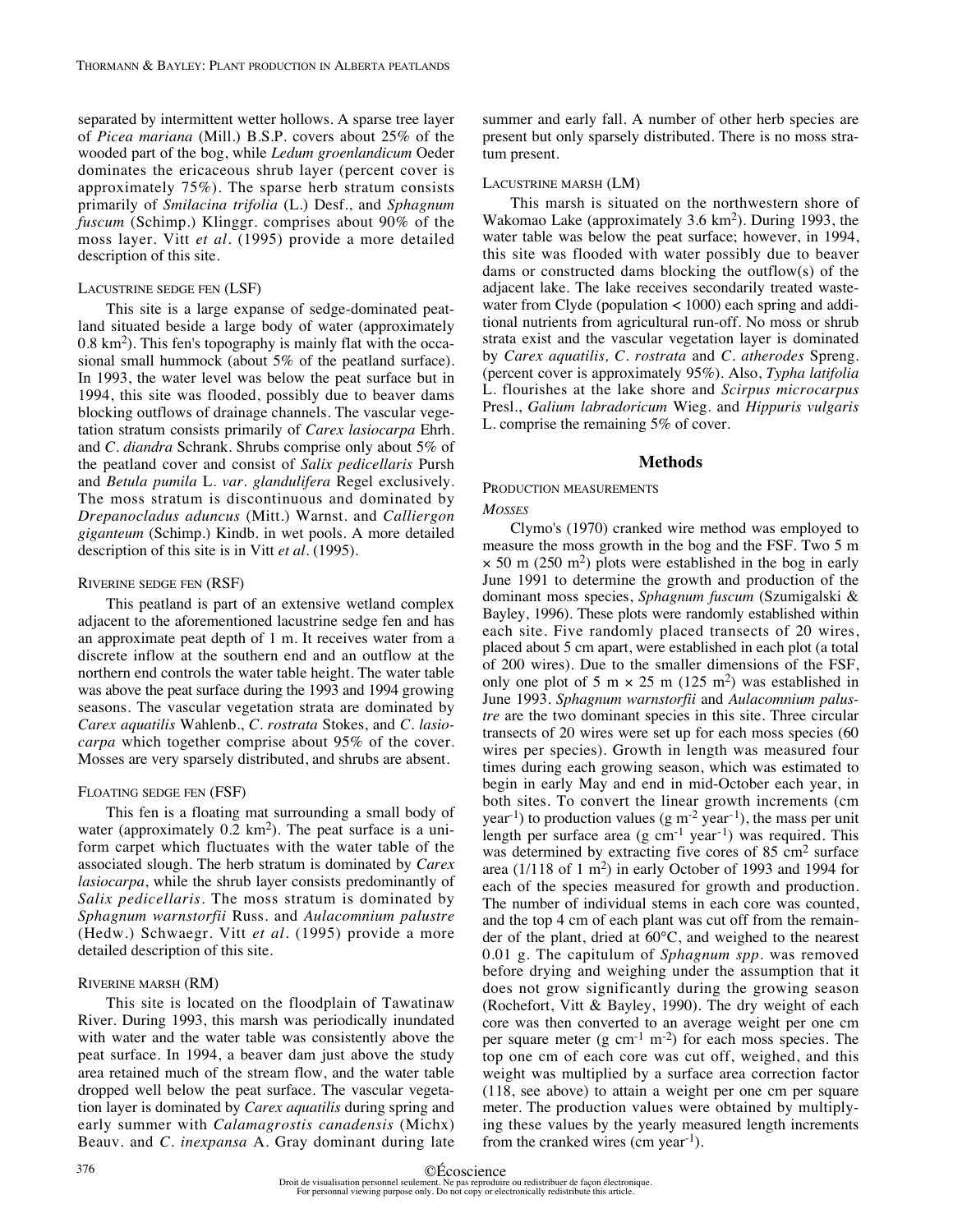separated by intermittent wetter hollows. A sparse tree layer of *Picea mariana* (Mill.) B.S.P. covers about 25% of the wooded part of the bog, while *Ledum groenlandicum* Oeder dominates the ericaceous shrub layer (percent cover is approximately 75%). The sparse herb stratum consists primarily of *Smilacina trifolia* (L.) Desf., and *Sphagnum fuscum* (Schimp.) Klinggr. comprises about 90% of the moss layer. Vitt *et al.* (1995) provide a more detailed description of this site.

#### LACUSTRINE SEDGE FEN (LSF)

This site is a large expanse of sedge-dominated peatland situated beside a large body of water (approximately  $0.8 \text{ km}^2$ ). This fen's topography is mainly flat with the occasional small hummock (about 5% of the peatland surface). In 1993, the water level was below the peat surface but in 1994, this site was flooded, possibly due to beaver dams blocking outflows of drainage channels. The vascular vegetation stratum consists primarily of *Carex lasiocarpa* Ehrh. and *C. diandra* Schrank. Shrubs comprise only about 5% of the peatland cover and consist of *Salix pedicellaris* Pursh and *Betula pumila* L. *var. glandulifera* Regel exclusively. The moss stratum is discontinuous and dominated by *Drepanocladus aduncus* (Mitt.) Warnst. and *Calliergon giganteum* (Schimp.) Kindb. in wet pools. A more detailed description of this site is in Vitt *et al.* (1995).

## RIVERINE SEDGE FEN (RSF)

This peatland is part of an extensive wetland complex adjacent to the aforementioned lacustrine sedge fen and has an approximate peat depth of 1 m. It receives water from a discrete inflow at the southern end and an outflow at the northern end controls the water table height. The water table was above the peat surface during the 1993 and 1994 growing seasons. The vascular vegetation strata are dominated by *Carex aquatilis* Wahlenb., *C. rostrata* Stokes, and *C. lasiocarpa* which together comprise about 95% of the cover. Mosses are very sparsely distributed, and shrubs are absent.

#### FLOATING SEDGE FEN (FSF)

This fen is a floating mat surrounding a small body of water (approximately  $0.2 \text{ km}^2$ ). The peat surface is a uniform carpet which fluctuates with the water table of the associated slough. The herb stratum is dominated by *Carex lasiocarpa*, while the shrub layer consists predominantly of *Salix pedicellaris*. The moss stratum is dominated by *Sphagnum warnstorfii* Russ. and *Aulacomnium palustre* (Hedw.) Schwaegr. Vitt *et al.* (1995) provide a more detailed description of this site.

#### RIVERINE MARSH (RM)

This site is located on the floodplain of Tawatinaw River. During 1993, this marsh was periodically inundated with water and the water table was consistently above the peat surface. In 1994, a beaver dam just above the study area retained much of the stream flow, and the water table dropped well below the peat surface. The vascular vegetation layer is dominated by *Carex aquatilis* during spring and early summer with *Calamagrostis canadensis* (Michx) Beauv. and *C. inexpansa* A. Gray dominant during late

summer and early fall. A number of other herb species are present but only sparsely distributed. There is no moss stratum present.

#### LACUSTRINE MARSH (LM)

This marsh is situated on the northwestern shore of Wakomao Lake (approximately 3.6 km2). During 1993, the water table was below the peat surface; however, in 1994, this site was flooded with water possibly due to beaver dams or constructed dams blocking the outflow(s) of the adjacent lake. The lake receives secondarily treated wastewater from Clyde (population < 1000) each spring and additional nutrients from agricultural run-off. No moss or shrub strata exist and the vascular vegetation layer is dominated by *Carex aquatilis, C. rostrata* and *C. atherodes* Spreng. (percent cover is approximately 95%). Also, *Typha latifolia* L. flourishes at the lake shore and *Scirpus microcarpus* Presl., *Galium labradoricum* Wieg. and *Hippuris vulgaris* L. comprise the remaining 5% of cover.

#### **Methods**

# PRODUCTION MEASUREMENTS

#### *MOSSES*

Clymo's (1970) cranked wire method was employed to measure the moss growth in the bog and the FSF. Two 5 m  $\times$  50 m (250 m<sup>2</sup>) plots were established in the bog in early June 1991 to determine the growth and production of the dominant moss species, *Sphagnum fuscum* (Szumigalski & Bayley, 1996). These plots were randomly established within each site. Five randomly placed transects of 20 wires, placed about 5 cm apart, were established in each plot (a total of 200 wires). Due to the smaller dimensions of the FSF, only one plot of 5 m  $\times$  25 m (125 m<sup>2</sup>) was established in June 1993. *Sphagnum warnstorfii* and *Aulacomnium palustre* are the two dominant species in this site. Three circular transects of 20 wires were set up for each moss species (60 wires per species). Growth in length was measured four times during each growing season, which was estimated to begin in early May and end in mid-October each year, in both sites. To convert the linear growth increments (cm year<sup>-1</sup>) to production values (g m<sup>-2</sup> year<sup>-1</sup>), the mass per unit length per surface area  $(g \text{ cm}^{-1} \text{ year}^{-1})$  was required. This was determined by extracting five cores of 85 cm<sup>2</sup> surface area  $(1/118 \text{ of } 1 \text{ m}^2)$  in early October of 1993 and 1994 for each of the species measured for growth and production. The number of individual stems in each core was counted, and the top 4 cm of each plant was cut off from the remainder of the plant, dried at 60°C, and weighed to the nearest 0.01 g. The capitulum of *Sphagnum spp.* was removed before drying and weighing under the assumption that it does not grow significantly during the growing season (Rochefort, Vitt & Bayley, 1990). The dry weight of each core was then converted to an average weight per one cm per square meter (g cm<sup>-1</sup> m<sup>-2</sup>) for each moss species. The top one cm of each core was cut off, weighed, and this weight was multiplied by a surface area correction factor (118, see above) to attain a weight per one cm per square meter. The production values were obtained by multiplying these values by the yearly measured length increments from the cranked wires (cm year<sup>-1</sup>).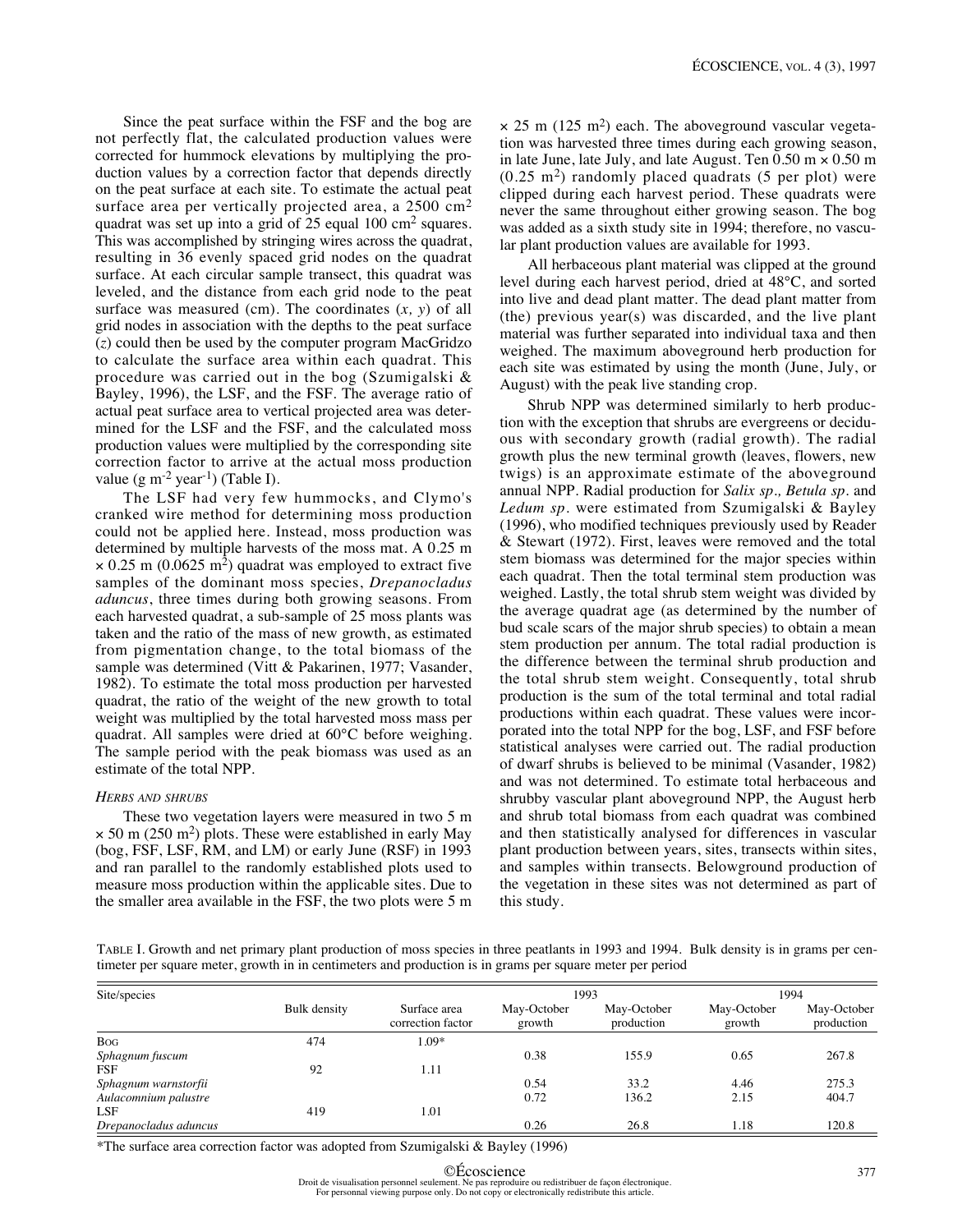Since the peat surface within the FSF and the bog are not perfectly flat, the calculated production values were corrected for hummock elevations by multiplying the production values by a correction factor that depends directly on the peat surface at each site. To estimate the actual peat surface area per vertically projected area, a 2500 cm<sup>2</sup> quadrat was set up into a grid of 25 equal 100 cm<sup>2</sup> squares. This was accomplished by stringing wires across the quadrat, resulting in 36 evenly spaced grid nodes on the quadrat surface. At each circular sample transect, this quadrat was leveled, and the distance from each grid node to the peat surface was measured (cm). The coordinates (*x, y*) of all grid nodes in association with the depths to the peat surface (*z*) could then be used by the computer program MacGridzo to calculate the surface area within each quadrat. This procedure was carried out in the bog (Szumigalski & Bayley, 1996), the LSF, and the FSF. The average ratio of actual peat surface area to vertical projected area was determined for the LSF and the FSF, and the calculated moss production values were multiplied by the corresponding site correction factor to arrive at the actual moss production value  $(g m^{-2} year^{-1})$  (Table I).

The LSF had very few hummocks, and Clymo's cranked wire method for determining moss production could not be applied here. Instead, moss production was determined by multiple harvests of the moss mat. A 0.25 m  $\times$  0.25 m (0.0625 m<sup>2</sup>) quadrat was employed to extract five samples of the dominant moss species, *Drepanocladus aduncus*, three times during both growing seasons. From each harvested quadrat, a sub-sample of 25 moss plants was taken and the ratio of the mass of new growth, as estimated from pigmentation change, to the total biomass of the sample was determined (Vitt & Pakarinen, 1977; Vasander, 1982). To estimate the total moss production per harvested quadrat, the ratio of the weight of the new growth to total weight was multiplied by the total harvested moss mass per quadrat. All samples were dried at 60°C before weighing. The sample period with the peak biomass was used as an estimate of the total NPP.

#### *HERBS AND SHRUBS*

These two vegetation layers were measured in two 5 m  $\times$  50 m (250 m<sup>2</sup>) plots. These were established in early May (bog, FSF, LSF, RM, and LM) or early June (RSF) in 1993 and ran parallel to the randomly established plots used to measure moss production within the applicable sites. Due to the smaller area available in the FSF, the two plots were 5 m  $\times$  25 m (125 m<sup>2</sup>) each. The aboveground vascular vegetation was harvested three times during each growing season, in late June, late July, and late August. Ten  $0.50 \text{ m} \times 0.50 \text{ m}$  $(0.25 \text{ m}^2)$  randomly placed quadrats (5 per plot) were clipped during each harvest period. These quadrats were never the same throughout either growing season. The bog was added as a sixth study site in 1994; therefore, no vascular plant production values are available for 1993.

All herbaceous plant material was clipped at the ground level during each harvest period, dried at 48°C, and sorted into live and dead plant matter. The dead plant matter from (the) previous year(s) was discarded, and the live plant material was further separated into individual taxa and then weighed. The maximum aboveground herb production for each site was estimated by using the month (June, July, or August) with the peak live standing crop.

Shrub NPP was determined similarly to herb production with the exception that shrubs are evergreens or deciduous with secondary growth (radial growth). The radial growth plus the new terminal growth (leaves, flowers, new twigs) is an approximate estimate of the aboveground annual NPP. Radial production for *Salix sp., Betula sp.* and *Ledum sp.* were estimated from Szumigalski & Bayley (1996), who modified techniques previously used by Reader & Stewart (1972). First, leaves were removed and the total stem biomass was determined for the major species within each quadrat. Then the total terminal stem production was weighed. Lastly, the total shrub stem weight was divided by the average quadrat age (as determined by the number of bud scale scars of the major shrub species) to obtain a mean stem production per annum. The total radial production is the difference between the terminal shrub production and the total shrub stem weight. Consequently, total shrub production is the sum of the total terminal and total radial productions within each quadrat. These values were incorporated into the total NPP for the bog, LSF, and FSF before statistical analyses were carried out. The radial production of dwarf shrubs is believed to be minimal (Vasander, 1982) and was not determined. To estimate total herbaceous and shrubby vascular plant aboveground NPP, the August herb and shrub total biomass from each quadrat was combined and then statistically analysed for differences in vascular plant production between years, sites, transects within sites, and samples within transects. Belowground production of the vegetation in these sites was not determined as part of this study.

TABLE I. Growth and net primary plant production of moss species in three peatlants in 1993 and 1994. Bulk density is in grams per centimeter per square meter, growth in in centimeters and production is in grams per square meter per period

| Site/species          |              |                                   | 1993                  |                           | 1994                  |                           |  |
|-----------------------|--------------|-----------------------------------|-----------------------|---------------------------|-----------------------|---------------------------|--|
|                       | Bulk density | Surface area<br>correction factor | May-October<br>growth | May-October<br>production | May-October<br>growth | May-October<br>production |  |
| <b>Bog</b>            | 474          | 1.09*                             |                       |                           |                       |                           |  |
| Sphagnum fuscum       |              |                                   | 0.38                  | 155.9                     | 0.65                  | 267.8                     |  |
| <b>FSF</b>            | 92           | 1.11                              |                       |                           |                       |                           |  |
| Sphagnum warnstorfii  |              |                                   | 0.54                  | 33.2                      | 4.46                  | 275.3                     |  |
| Aulacomnium palustre  |              |                                   | 0.72                  | 136.2                     | 2.15                  | 404.7                     |  |
| LSF                   | 419          | 1.01                              |                       |                           |                       |                           |  |
| Drepanocladus aduncus |              |                                   | 0.26                  | 26.8                      | 1.18                  | 120.8                     |  |

\*The surface area correction factor was adopted from Szumigalski & Bayley (1996)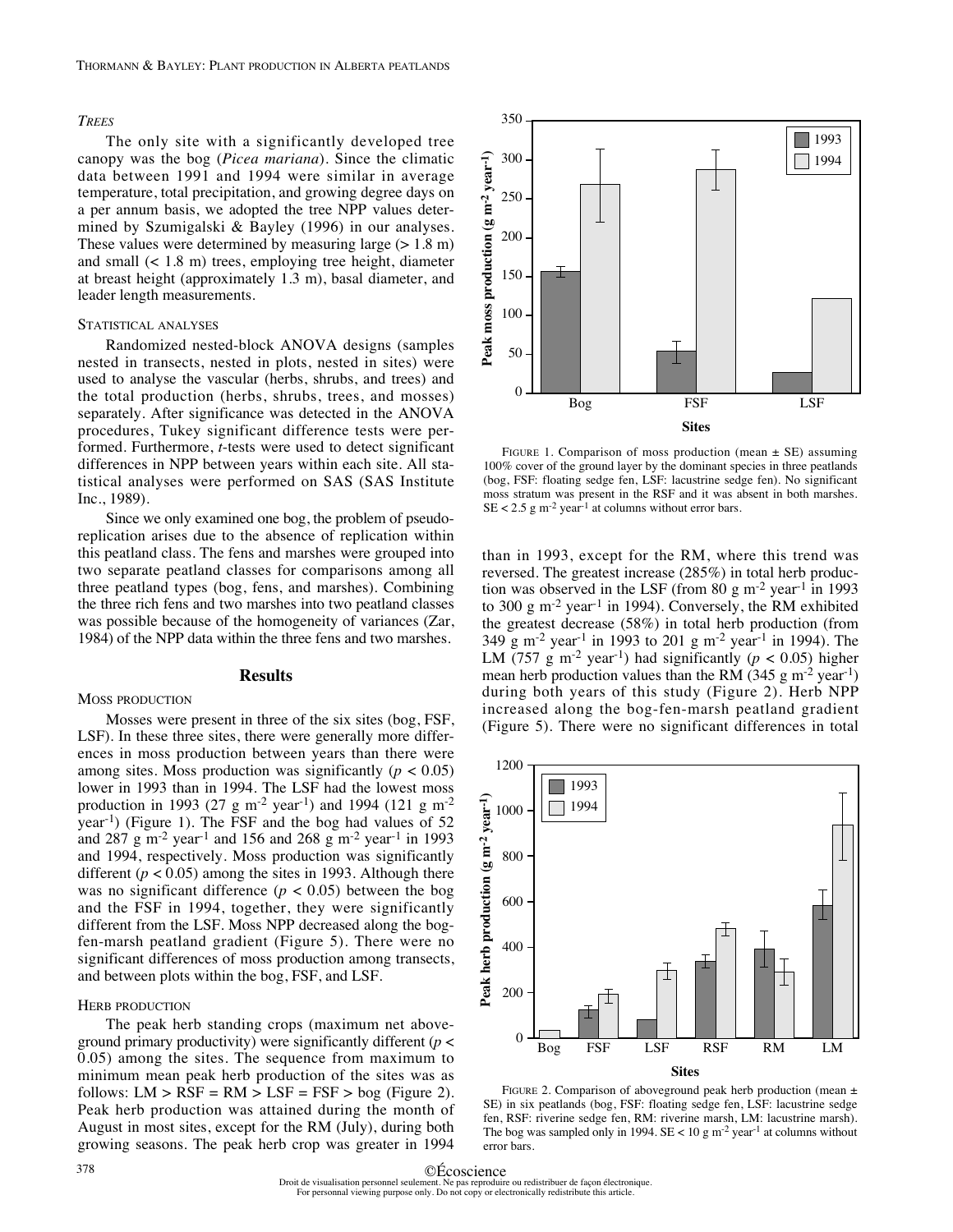## *TREES*

The only site with a significantly developed tree canopy was the bog (*Picea mariana*). Since the climatic data between 1991 and 1994 were similar in average temperature, total precipitation, and growing degree days on a per annum basis, we adopted the tree NPP values determined by Szumigalski & Bayley (1996) in our analyses. These values were determined by measuring large  $(> 1.8 \text{ m})$ and small (< 1.8 m) trees, employing tree height, diameter at breast height (approximately 1.3 m), basal diameter, and leader length measurements.

## STATISTICAL ANALYSES

Randomized nested-block ANOVA designs (samples nested in transects, nested in plots, nested in sites) were used to analyse the vascular (herbs, shrubs, and trees) and the total production (herbs, shrubs, trees, and mosses) separately. After significance was detected in the ANOVA procedures, Tukey significant difference tests were performed. Furthermore, *t*-tests were used to detect significant differences in NPP between years within each site. All statistical analyses were performed on SAS (SAS Institute Inc., 1989).

Since we only examined one bog, the problem of pseudoreplication arises due to the absence of replication within this peatland class. The fens and marshes were grouped into two separate peatland classes for comparisons among all three peatland types (bog, fens, and marshes). Combining the three rich fens and two marshes into two peatland classes was possible because of the homogeneity of variances (Zar, 1984) of the NPP data within the three fens and two marshes.

#### **Results**

MOSS PRODUCTION

Mosses were present in three of the six sites (bog, FSF, LSF). In these three sites, there were generally more differences in moss production between years than there were among sites. Moss production was significantly  $(p < 0.05)$ lower in 1993 than in 1994. The LSF had the lowest moss production in 1993 (27 g m<sup>-2</sup> year<sup>-1</sup>) and 1994 (121 g m<sup>-2</sup> year-1) (Figure 1). The FSF and the bog had values of 52 and 287 g m-2 year-1 and 156 and 268 g m-2 year-1 in 1993 and 1994, respectively. Moss production was significantly different ( $p < 0.05$ ) among the sites in 1993. Although there was no significant difference ( $p < 0.05$ ) between the bog and the FSF in 1994, together, they were significantly different from the LSF. Moss NPP decreased along the bogfen-marsh peatland gradient (Figure 5). There were no significant differences of moss production among transects, and between plots within the bog, FSF, and LSF.

#### HERB PRODUCTION

The peak herb standing crops (maximum net aboveground primary productivity) were significantly different (*p* < 0.05) among the sites. The sequence from maximum to minimum mean peak herb production of the sites was as follows:  $LM > RSF = RM > LSF = FSF > bog$  (Figure 2). Peak herb production was attained during the month of August in most sites, except for the RM (July), during both growing seasons. The peak herb crop was greater in 1994



FIGURE 1. Comparison of moss production (mean  $\pm$  SE) assuming 100% cover of the ground layer by the dominant species in three peatlands (bog, FSF: floating sedge fen, LSF: lacustrine sedge fen). No significant moss stratum was present in the RSF and it was absent in both marshes.  $SE < 2.5$  g m<sup>-2</sup> year<sup>-1</sup> at columns without error bars.

than in 1993, except for the RM, where this trend was reversed. The greatest increase (285%) in total herb production was observed in the LSF (from 80 g m<sup>-2</sup> year<sup>-1</sup> in 1993 to 300 g m-2 year-1 in 1994). Conversely, the RM exhibited the greatest decrease (58%) in total herb production (from 349 g m-2 year-1 in 1993 to 201 g m-2 year-1 in 1994). The LM (757 g m<sup>-2</sup> year<sup>-1</sup>) had significantly ( $p < 0.05$ ) higher mean herb production values than the RM (345 g m<sup>-2</sup> year<sup>-1</sup>) during both years of this study (Figure 2). Herb NPP increased along the bog-fen-marsh peatland gradient



FIGURE 2. Comparison of aboveground peak herb production (mean  $\pm$ SE) in six peatlands (bog, FSF: floating sedge fen, LSF: lacustrine sedge fen, RSF: riverine sedge fen, RM: riverine marsh, LM: lacustrine marsh). The bog was sampled only in 1994.  $SE < 10$  g m<sup>-2</sup> year<sup>-1</sup> at columns without error bars.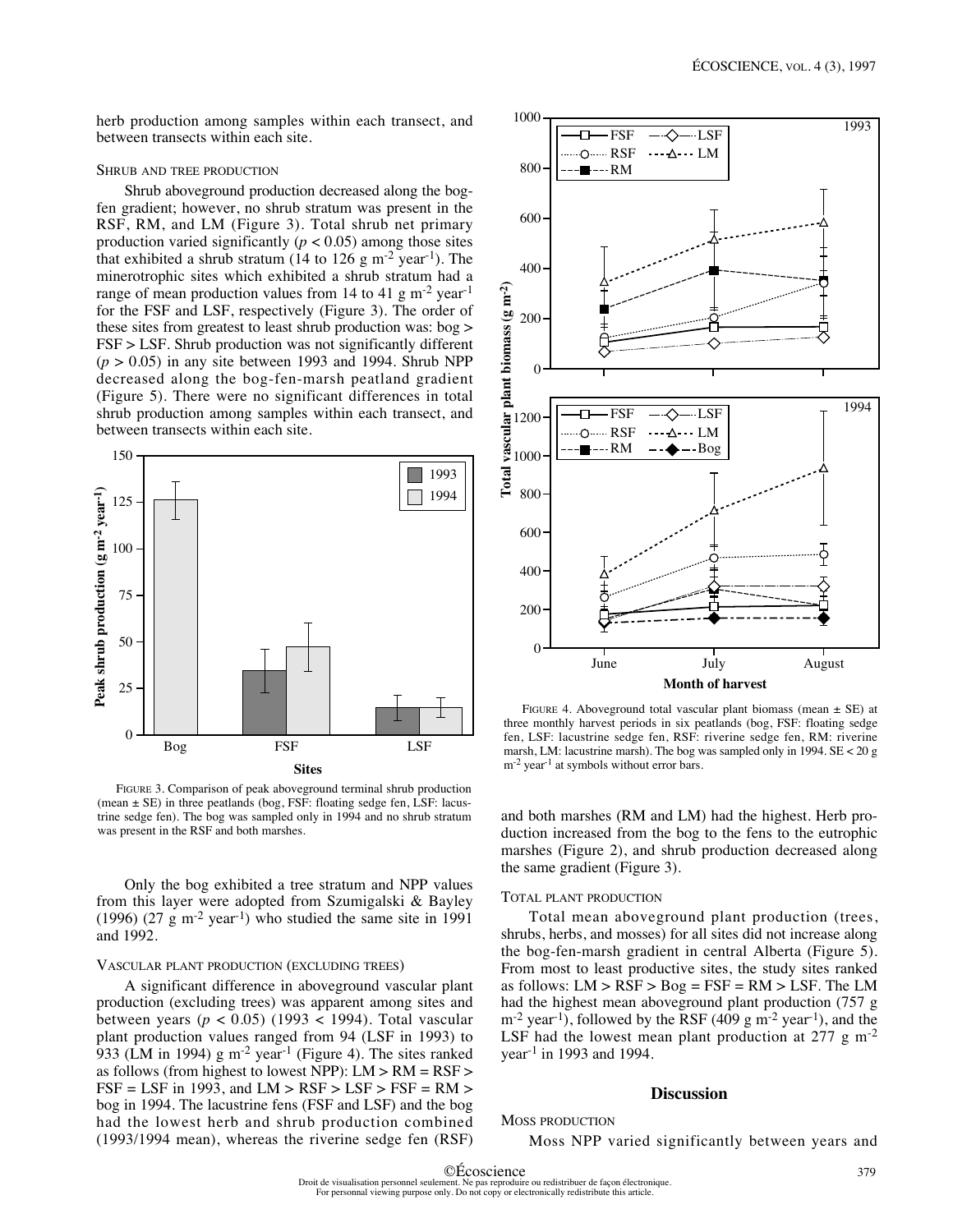herb production among samples within each transect, and between transects within each site.

#### SHRUB AND TREE PRODUCTION

Shrub aboveground production decreased along the bogfen gradient; however, no shrub stratum was present in the RSF, RM, and LM (Figure 3). Total shrub net primary production varied significantly ( $p < 0.05$ ) among those sites that exhibited a shrub stratum (14 to 126 g m<sup>-2</sup> year<sup>-1</sup>). The minerotrophic sites which exhibited a shrub stratum had a range of mean production values from 14 to 41 g  $\text{m}^{-2}$  year<sup>-1</sup> for the FSF and LSF, respectively (Figure 3). The order of these sites from greatest to least shrub production was: bog > FSF > LSF. Shrub production was not significantly different  $(p > 0.05)$  in any site between 1993 and 1994. Shrub NPP decreased along the bog-fen-marsh peatland gradient (Figure 5). There were no significant differences in total shrub production among samples within each transect, and between transects within each site.



FIGURE 3. Comparison of peak aboveground terminal shrub production (mean  $\pm$  SE) in three peatlands (bog, FSF: floating sedge fen, LSF: lacustrine sedge fen). The bog was sampled only in 1994 and no shrub stratum

Only the bog exhibited a tree stratum and NPP values from this layer were adopted from Szumigalski & Bayley (1996) (27 g m<sup>-2</sup> year<sup>-1</sup>) who studied the same site in 1991 and 1992.

#### VASCULAR PLANT PRODUCTION (EXCLUDING TREES)

A significant difference in aboveground vascular plant production (excluding trees) was apparent among sites and between years ( $p < 0.05$ ) (1993 < 1994). Total vascular plant production values ranged from 94 (LSF in 1993) to 933 (LM in 1994) g m<sup>-2</sup> year<sup>-1</sup> (Figure 4). The sites ranked as follows (from highest to lowest NPP): LM > RM = RSF >  $FSF = LSF$  in 1993, and  $LM > RSF > LSF > FSF = RM >$ bog in 1994. The lacustrine fens (FSF and LSF) and the bog had the lowest herb and shrub production combined (1993/1994 mean), whereas the riverine sedge fen (RSF)



FIGURE 4. Aboveground total vascular plant biomass (mean  $\pm$  SE) at three monthly harvest periods in six peatlands (bog, FSF: floating sedge fen, LSF: lacustrine sedge fen, RSF: riverine sedge fen, RM: riverine marsh, LM: lacustrine marsh). The bog was sampled only in 1994. SE < 20 g m<sup>-2</sup> year<sup>-1</sup> at symbols without error bars.

and both marshes (RM and LM) had the highest. Herb production increased from the bog to the fens to the eutrophic marshes (Figure 2), and shrub production decreased along the same gradient (Figure 3).

#### TOTAL PLANT PRODUCTION

Total mean aboveground plant production (trees, shrubs, herbs, and mosses) for all sites did not increase along the bog-fen-marsh gradient in central Alberta (Figure 5). From most to least productive sites, the study sites ranked as follows:  $LM > RSF > Bog = FSF = RM > LSF$ . The LM had the highest mean aboveground plant production (757 g  $m^{-2}$  year<sup>-1</sup>), followed by the RSF (409 g m<sup>-2</sup> year<sup>-1</sup>), and the LSF had the lowest mean plant production at  $277 \text{ g m}^{-2}$ year<sup>-1</sup> in 1993 and 1994.

# **Discussion**

# MOSS PRODUCTION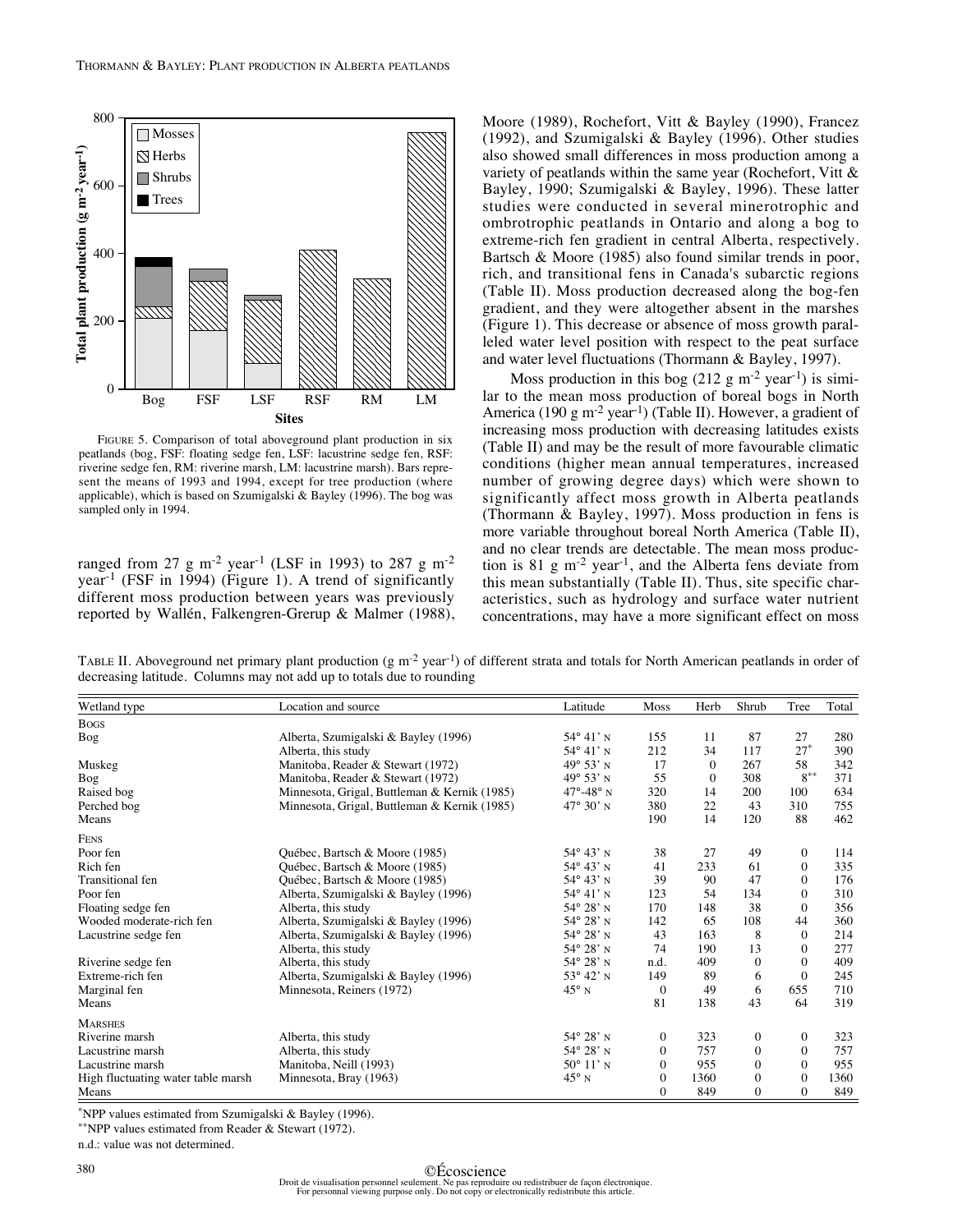

FIGURE 5. Comparison of total aboveground plant production in six peatlands (bog, FSF: floating sedge fen, LSF: lacustrine sedge fen, RSF: riverine sedge fen, RM: riverine marsh, LM: lacustrine marsh). Bars represent the means of 1993 and 1994, except for tree production (where applicable), which is based on Szumigalski & Bayley (1996). The bog was sampled only in 1994.

ranged from 27 g m<sup>-2</sup> year<sup>-1</sup> (LSF in 1993) to 287 g m<sup>-2</sup> year-1 (FSF in 1994) (Figure 1). A trend of significantly different moss production between years was previously reported by Wallén, Falkengren-Grerup & Malmer (1988), Moore (1989), Rochefort, Vitt & Bayley (1990), Francez (1992), and Szumigalski & Bayley (1996). Other studies also showed small differences in moss production among a variety of peatlands within the same year (Rochefort, Vitt & Bayley, 1990; Szumigalski & Bayley, 1996). These latter studies were conducted in several minerotrophic and ombrotrophic peatlands in Ontario and along a bog to extreme-rich fen gradient in central Alberta, respectively. Bartsch & Moore (1985) also found similar trends in poor, rich, and transitional fens in Canada's subarctic regions (Table II). Moss production decreased along the bog-fen gradient, and they were altogether absent in the marshes (Figure 1). This decrease or absence of moss growth paralleled water level position with respect to the peat surface and water level fluctuations (Thormann & Bayley, 1997).

Moss production in this bog  $(212 \text{ g m}^{-2} \text{ year}^{-1})$  is similar to the mean moss production of boreal bogs in North America (190 g m<sup>-2</sup> year<sup>-1</sup>) (Table II). However, a gradient of increasing moss production with decreasing latitudes exists (Table II) and may be the result of more favourable climatic conditions (higher mean annual temperatures, increased number of growing degree days) which were shown to significantly affect moss growth in Alberta peatlands (Thormann & Bayley, 1997). Moss production in fens is more variable throughout boreal North America (Table II), and no clear trends are detectable. The mean moss production is 81 g  $\mathrm{m}^{-2}$  year<sup>-1</sup>, and the Alberta fens deviate from this mean substantially (Table II). Thus, site specific characteristics, such as hydrology and surface water nutrient concentrations, may have a more significant effect on moss

TABLE II. Aboveground net primary plant production (g  $m^{-2}$  year<sup>1</sup>) of different strata and totals for North American peatlands in order of decreasing latitude. Columns may not add up to totals due to rounding

| Wetland type                       | Location and source                          | Latitude                | Moss             | Herb     | Shrub            | Tree           | Total |
|------------------------------------|----------------------------------------------|-------------------------|------------------|----------|------------------|----------------|-------|
| <b>Bogs</b>                        |                                              |                         |                  |          |                  |                |       |
| Bog                                | Alberta, Szumigalski & Bayley (1996)         | $54^{\circ} 41'$ N      | 155              | 11       | 87               | 27             | 280   |
|                                    | Alberta, this study                          | $54^{\circ} 41'$ N      | 212              | 34       | 117              | $27*$          | 390   |
| Muskeg                             | Manitoba, Reader & Stewart (1972)            | $49^{\circ} 53'$ N      | 17               | $\Omega$ | 267              | 58             | 342   |
| Bog                                | Manitoba, Reader & Stewart (1972)            | $49^{\circ} 53'$ N      | 55               | $\Omega$ | 308              | $8^{**}$       | 371   |
| Raised bog                         | Minnesota, Grigal, Buttleman & Kernik (1985) | $47^\circ - 48^\circ$ N | 320              | 14       | 200              | 100            | 634   |
| Perched bog                        | Minnesota, Grigal, Buttleman & Kernik (1985) | $47^{\circ} 30'$ N      | 380              | 22       | 43               | 310            | 755   |
| Means                              |                                              |                         | 190              | 14       | 120              | 88             | 462   |
| <b>FENS</b>                        |                                              |                         |                  |          |                  |                |       |
| Poor fen                           | Québec, Bartsch & Moore (1985)               | $54^{\circ} 43'$ N      | 38               | 27       | 49               | $\overline{0}$ | 114   |
| Rich fen                           | Ouébec, Bartsch & Moore (1985)               | $54^{\circ} 43'$ N      | 41               | 233      | 61               | $\overline{0}$ | 335   |
| <b>Transitional</b> fen            | Québec, Bartsch & Moore (1985)               | $54^{\circ} 43'$ N      | 39               | 90       | 47               | $\Omega$       | 176   |
| Poor fen                           | Alberta, Szumigalski & Bayley (1996)         | $54^{\circ}$ 41' N      | 123              | 54       | 134              | $\overline{0}$ | 310   |
| Floating sedge fen                 | Alberta, this study                          | $54^{\circ} 28'$ N      | 170              | 148      | 38               | $\Omega$       | 356   |
| Wooded moderate-rich fen           | Alberta, Szumigalski & Bayley (1996)         | $54^{\circ} 28'$ N      | 142              | 65       | 108              | 44             | 360   |
| Lacustrine sedge fen               | Alberta, Szumigalski & Bayley (1996)         | $54^{\circ} 28'$ N      | 43               | 163      | 8                | $\theta$       | 214   |
|                                    | Alberta, this study                          | $54^{\circ} 28'$ N      | 74               | 190      | 13               | $\overline{0}$ | 277   |
| Riverine sedge fen                 | Alberta, this study                          | $54^{\circ} 28'$ N      | n.d.             | 409      | $\Omega$         | $\Omega$       | 409   |
| Extreme-rich fen                   | Alberta, Szumigalski & Bayley (1996)         | $53^{\circ} 42'$ N      | 149              | 89       | 6                | $\overline{0}$ | 245   |
| Marginal fen                       | Minnesota, Reiners (1972)                    | $45^{\circ}$ N          | $\mathbf{0}$     | 49       | 6                | 655            | 710   |
| Means                              |                                              |                         | 81               | 138      | 43               | 64             | 319   |
| <b>MARSHES</b>                     |                                              |                         |                  |          |                  |                |       |
| Riverine marsh                     | Alberta, this study                          | $54^{\circ} 28'$ N      | $\overline{0}$   | 323      | $\boldsymbol{0}$ | $\overline{0}$ | 323   |
| Lacustrine marsh                   | Alberta, this study                          | $54^{\circ} 28'$ N      | $\Omega$         | 757      | $\Omega$         | $\Omega$       | 757   |
| Lacustrine marsh                   | Manitoba, Neill (1993)                       | $50^{\circ}$ 11' N      | $\mathbf{0}$     | 955      | $\Omega$         | $\overline{0}$ | 955   |
| High fluctuating water table marsh | Minnesota, Bray (1963)                       | $45^{\circ}$ N          | $\mathbf{0}$     | 1360     | $\Omega$         | $\Omega$       | 1360  |
| Means                              |                                              |                         | $\boldsymbol{0}$ | 849      | $\mathbf{0}$     | $\Omega$       | 849   |

\*NPP values estimated from Szumigalski & Bayley (1996).

\*\*NPP values estimated from Reader & Stewart (1972).

n.d.: value was not determined.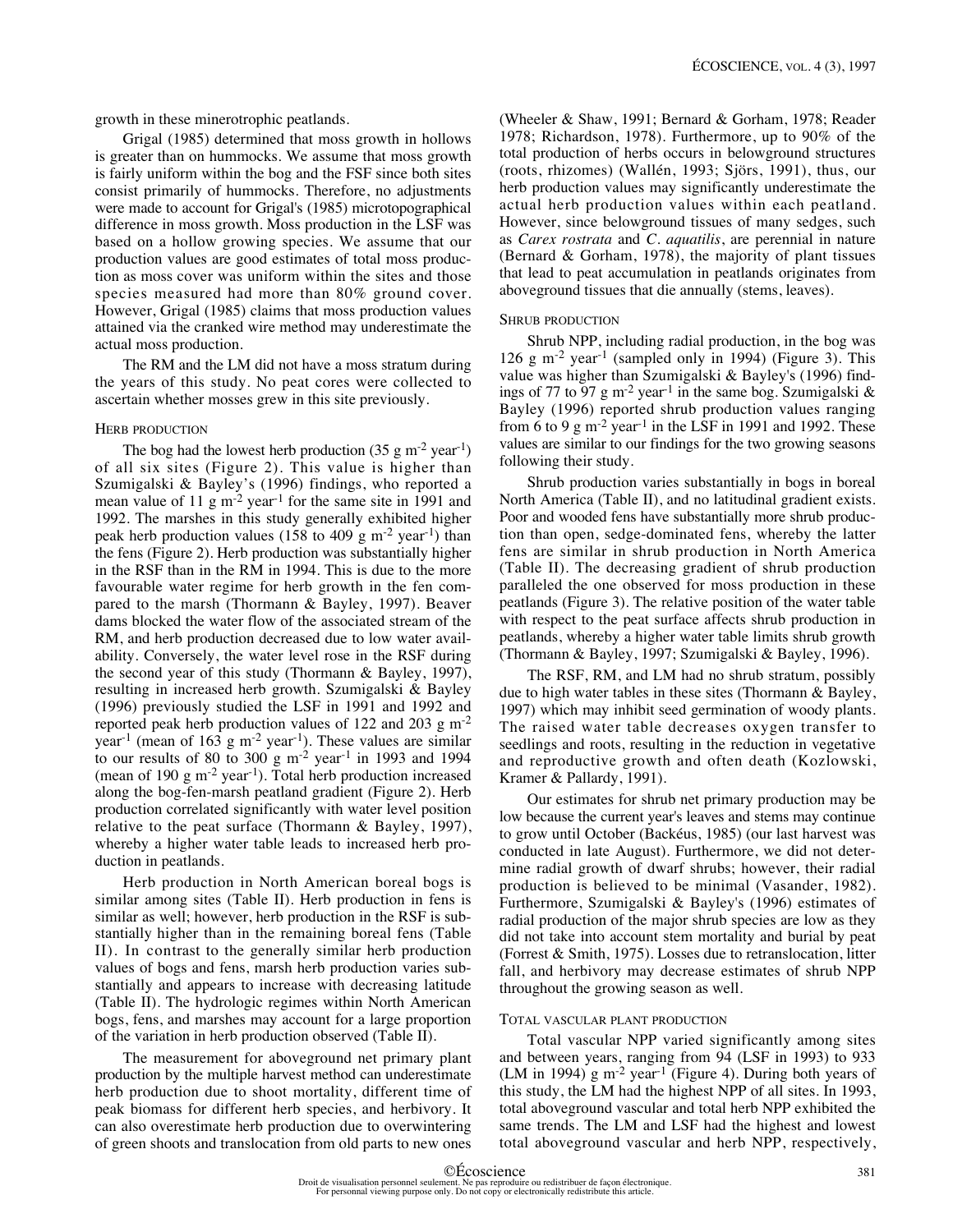growth in these minerotrophic peatlands.

Grigal (1985) determined that moss growth in hollows is greater than on hummocks. We assume that moss growth is fairly uniform within the bog and the FSF since both sites consist primarily of hummocks. Therefore, no adjustments were made to account for Grigal's (1985) microtopographical difference in moss growth. Moss production in the LSF was based on a hollow growing species. We assume that our production values are good estimates of total moss production as moss cover was uniform within the sites and those species measured had more than 80% ground cover. However, Grigal (1985) claims that moss production values attained via the cranked wire method may underestimate the actual moss production.

The RM and the LM did not have a moss stratum during the years of this study. No peat cores were collected to ascertain whether mosses grew in this site previously.

#### HERB PRODUCTION

The bog had the lowest herb production  $(35 \text{ g m}^{-2} \text{ year}^{-1})$ of all six sites (Figure 2). This value is higher than Szumigalski & Bayley's (1996) findings, who reported a mean value of 11 g m<sup>-2</sup> year<sup>-1</sup> for the same site in 1991 and 1992. The marshes in this study generally exhibited higher peak herb production values (158 to 409 g  $\mathrm{m}^2$  year<sup>-1</sup>) than the fens (Figure 2). Herb production was substantially higher in the RSF than in the RM in 1994. This is due to the more favourable water regime for herb growth in the fen compared to the marsh (Thormann & Bayley, 1997). Beaver dams blocked the water flow of the associated stream of the RM, and herb production decreased due to low water availability. Conversely, the water level rose in the RSF during the second year of this study (Thormann & Bayley, 1997), resulting in increased herb growth. Szumigalski & Bayley (1996) previously studied the LSF in 1991 and 1992 and reported peak herb production values of 122 and 203  $\rm g$  m<sup>-2</sup> year<sup>-1</sup> (mean of 163 g m<sup>-2</sup> year<sup>-1</sup>). These values are similar to our results of 80 to 300 g  $m<sup>-2</sup>$  year<sup>-1</sup> in 1993 and 1994 (mean of 190 g m<sup>-2</sup> year<sup>-1</sup>). Total herb production increased along the bog-fen-marsh peatland gradient (Figure 2). Herb production correlated significantly with water level position relative to the peat surface (Thormann & Bayley, 1997), whereby a higher water table leads to increased herb production in peatlands.

Herb production in North American boreal bogs is similar among sites (Table II). Herb production in fens is similar as well; however, herb production in the RSF is substantially higher than in the remaining boreal fens (Table II). In contrast to the generally similar herb production values of bogs and fens, marsh herb production varies substantially and appears to increase with decreasing latitude (Table II). The hydrologic regimes within North American bogs, fens, and marshes may account for a large proportion of the variation in herb production observed (Table II).

The measurement for aboveground net primary plant production by the multiple harvest method can underestimate herb production due to shoot mortality, different time of peak biomass for different herb species, and herbivory. It can also overestimate herb production due to overwintering of green shoots and translocation from old parts to new ones (Wheeler & Shaw, 1991; Bernard & Gorham, 1978; Reader 1978; Richardson, 1978). Furthermore, up to 90% of the total production of herbs occurs in belowground structures (roots, rhizomes) (Wallén, 1993; Sjörs, 1991), thus, our herb production values may significantly underestimate the actual herb production values within each peatland. However, since belowground tissues of many sedges, such as *Carex rostrata* and *C. aquatilis*, are perennial in nature (Bernard & Gorham, 1978), the majority of plant tissues that lead to peat accumulation in peatlands originates from aboveground tissues that die annually (stems, leaves).

#### SHRUB PRODUCTION

Shrub NPP, including radial production, in the bog was 126 g m<sup>-2</sup> year<sup>-1</sup> (sampled only in 1994) (Figure 3). This value was higher than Szumigalski & Bayley's (1996) findings of 77 to 97 g m<sup>-2</sup> year<sup>-1</sup> in the same bog. Szumigalski & Bayley (1996) reported shrub production values ranging from 6 to 9 g m<sup>-2</sup> year<sup>-1</sup> in the LSF in 1991 and 1992. These values are similar to our findings for the two growing seasons following their study.

Shrub production varies substantially in bogs in boreal North America (Table II), and no latitudinal gradient exists. Poor and wooded fens have substantially more shrub production than open, sedge-dominated fens, whereby the latter fens are similar in shrub production in North America (Table II). The decreasing gradient of shrub production paralleled the one observed for moss production in these peatlands (Figure 3). The relative position of the water table with respect to the peat surface affects shrub production in peatlands, whereby a higher water table limits shrub growth (Thormann & Bayley, 1997; Szumigalski & Bayley, 1996).

The RSF, RM, and LM had no shrub stratum, possibly due to high water tables in these sites (Thormann & Bayley, 1997) which may inhibit seed germination of woody plants. The raised water table decreases oxygen transfer to seedlings and roots, resulting in the reduction in vegetative and reproductive growth and often death (Kozlowski, Kramer & Pallardy, 1991).

Our estimates for shrub net primary production may be low because the current year's leaves and stems may continue to grow until October (Backéus, 1985) (our last harvest was conducted in late August). Furthermore, we did not determine radial growth of dwarf shrubs; however, their radial production is believed to be minimal (Vasander, 1982). Furthermore, Szumigalski & Bayley's (1996) estimates of radial production of the major shrub species are low as they did not take into account stem mortality and burial by peat (Forrest & Smith, 1975). Losses due to retranslocation, litter fall, and herbivory may decrease estimates of shrub NPP throughout the growing season as well.

#### TOTAL VASCULAR PLANT PRODUCTION

Total vascular NPP varied significantly among sites and between years, ranging from 94 (LSF in 1993) to 933 (LM in 1994) g m<sup>-2</sup> year<sup>-1</sup> (Figure 4). During both years of this study, the LM had the highest NPP of all sites. In 1993, total aboveground vascular and total herb NPP exhibited the same trends. The LM and LSF had the highest and lowest total aboveground vascular and herb NPP, respectively,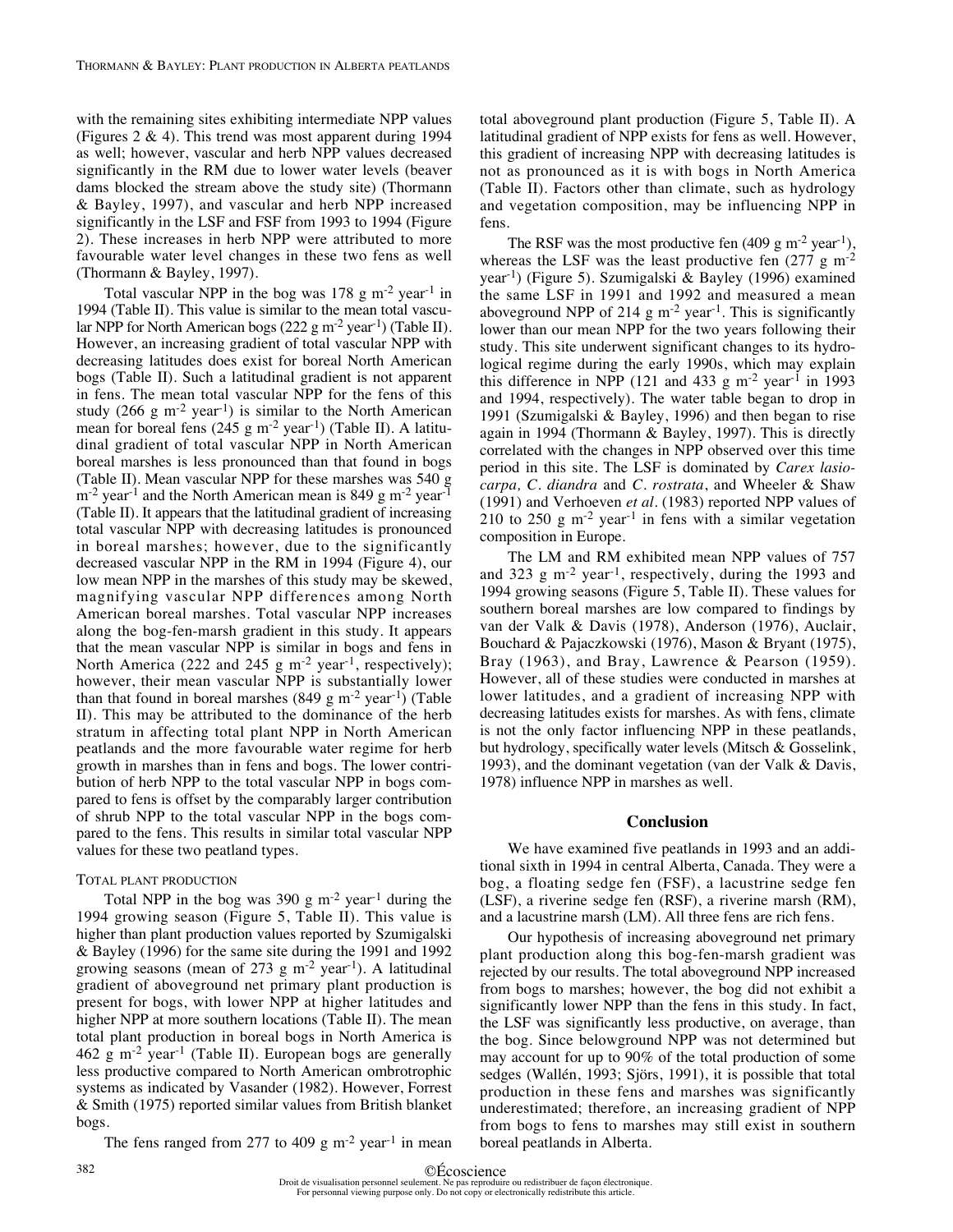with the remaining sites exhibiting intermediate NPP values (Figures 2 & 4). This trend was most apparent during 1994 as well; however, vascular and herb NPP values decreased significantly in the RM due to lower water levels (beaver dams blocked the stream above the study site) (Thormann & Bayley, 1997), and vascular and herb NPP increased significantly in the LSF and FSF from 1993 to 1994 (Figure 2). These increases in herb NPP were attributed to more favourable water level changes in these two fens as well (Thormann & Bayley, 1997).

Total vascular NPP in the bog was  $178$  g m<sup>-2</sup> year<sup>-1</sup> in 1994 (Table II). This value is similar to the mean total vascular NPP for North American bogs (222 g m<sup>-2</sup> year<sup>-1</sup>) (Table II). However, an increasing gradient of total vascular NPP with decreasing latitudes does exist for boreal North American bogs (Table II). Such a latitudinal gradient is not apparent in fens. The mean total vascular NPP for the fens of this study (266 g m<sup>-2</sup> year<sup>-1</sup>) is similar to the North American mean for boreal fens (245 g m<sup>-2</sup> year<sup>-1</sup>) (Table II). A latitudinal gradient of total vascular NPP in North American boreal marshes is less pronounced than that found in bogs (Table II). Mean vascular NPP for these marshes was 540 g  $\rm m^{-2}$  year<sup>-1</sup> and the North American mean is 849 g  $\rm m^{-2}$  year<sup>-1</sup> (Table II). It appears that the latitudinal gradient of increasing total vascular NPP with decreasing latitudes is pronounced in boreal marshes; however, due to the significantly decreased vascular NPP in the RM in 1994 (Figure 4), our low mean NPP in the marshes of this study may be skewed, magnifying vascular NPP differences among North American boreal marshes. Total vascular NPP increases along the bog-fen-marsh gradient in this study. It appears that the mean vascular NPP is similar in bogs and fens in North America (222 and 245 g m<sup>-2</sup> year<sup>-1</sup>, respectively); however, their mean vascular NPP is substantially lower than that found in boreal marshes  $(849 \text{ g m}^{-2} \text{ year}^{-1})$  (Table II). This may be attributed to the dominance of the herb stratum in affecting total plant NPP in North American peatlands and the more favourable water regime for herb growth in marshes than in fens and bogs. The lower contribution of herb NPP to the total vascular NPP in bogs compared to fens is offset by the comparably larger contribution of shrub NPP to the total vascular NPP in the bogs compared to the fens. This results in similar total vascular NPP values for these two peatland types.

#### TOTAL PLANT PRODUCTION

Total NPP in the bog was  $390 \text{ g m}^{-2}$  year<sup>-1</sup> during the 1994 growing season (Figure 5, Table II). This value is higher than plant production values reported by Szumigalski & Bayley (1996) for the same site during the 1991 and 1992 growing seasons (mean of 273 g m<sup>-2</sup> year<sup>-1</sup>). A latitudinal gradient of aboveground net primary plant production is present for bogs, with lower NPP at higher latitudes and higher NPP at more southern locations (Table II). The mean total plant production in boreal bogs in North America is  $462$  g m<sup>-2</sup> year<sup>-1</sup> (Table II). European bogs are generally less productive compared to North American ombrotrophic systems as indicated by Vasander (1982). However, Forrest & Smith (1975) reported similar values from British blanket bogs.

The fens ranged from 277 to 409 g  $m<sup>-2</sup>$  year<sup>-1</sup> in mean

total aboveground plant production (Figure 5, Table II). A latitudinal gradient of NPP exists for fens as well. However, this gradient of increasing NPP with decreasing latitudes is not as pronounced as it is with bogs in North America (Table II). Factors other than climate, such as hydrology and vegetation composition, may be influencing NPP in fens.

The RSF was the most productive fen  $(409 \text{ g m}^{-2} \text{ year}^{-1})$ , whereas the LSF was the least productive fen  $(277 \text{ g m}^{-2})$ year-1) (Figure 5). Szumigalski & Bayley (1996) examined the same LSF in 1991 and 1992 and measured a mean aboveground NPP of 214 g  $m^{-2}$  year<sup>-1</sup>. This is significantly lower than our mean NPP for the two years following their study. This site underwent significant changes to its hydrological regime during the early 1990s, which may explain this difference in NPP (121 and 433 g m<sup>-2</sup> year<sup>-1</sup> in 1993 and 1994, respectively). The water table began to drop in 1991 (Szumigalski & Bayley, 1996) and then began to rise again in 1994 (Thormann & Bayley, 1997). This is directly correlated with the changes in NPP observed over this time period in this site. The LSF is dominated by *Carex lasiocarpa, C. diandra* and *C. rostrata*, and Wheeler & Shaw (1991) and Verhoeven *et al.* (1983) reported NPP values of 210 to 250 g  $m<sup>2</sup>$  year<sup>-1</sup> in fens with a similar vegetation composition in Europe.

The LM and RM exhibited mean NPP values of 757 and 323  $\text{g}$  m<sup>-2</sup> year<sup>-1</sup>, respectively, during the 1993 and 1994 growing seasons (Figure 5, Table II). These values for southern boreal marshes are low compared to findings by van der Valk & Davis (1978), Anderson (1976), Auclair, Bouchard & Pajaczkowski (1976), Mason & Bryant (1975), Bray (1963), and Bray, Lawrence & Pearson (1959). However, all of these studies were conducted in marshes at lower latitudes, and a gradient of increasing NPP with decreasing latitudes exists for marshes. As with fens, climate is not the only factor influencing NPP in these peatlands, but hydrology, specifically water levels (Mitsch & Gosselink, 1993), and the dominant vegetation (van der Valk & Davis, 1978) influence NPP in marshes as well.

# **Conclusion**

We have examined five peatlands in 1993 and an additional sixth in 1994 in central Alberta, Canada. They were a bog, a floating sedge fen (FSF), a lacustrine sedge fen (LSF), a riverine sedge fen (RSF), a riverine marsh (RM), and a lacustrine marsh (LM). All three fens are rich fens.

Our hypothesis of increasing aboveground net primary plant production along this bog-fen-marsh gradient was rejected by our results. The total aboveground NPP increased from bogs to marshes; however, the bog did not exhibit a significantly lower NPP than the fens in this study. In fact, the LSF was significantly less productive, on average, than the bog. Since belowground NPP was not determined but may account for up to 90% of the total production of some sedges (Wallén, 1993; Sjörs, 1991), it is possible that total production in these fens and marshes was significantly underestimated; therefore, an increasing gradient of NPP from bogs to fens to marshes may still exist in southern boreal peatlands in Alberta.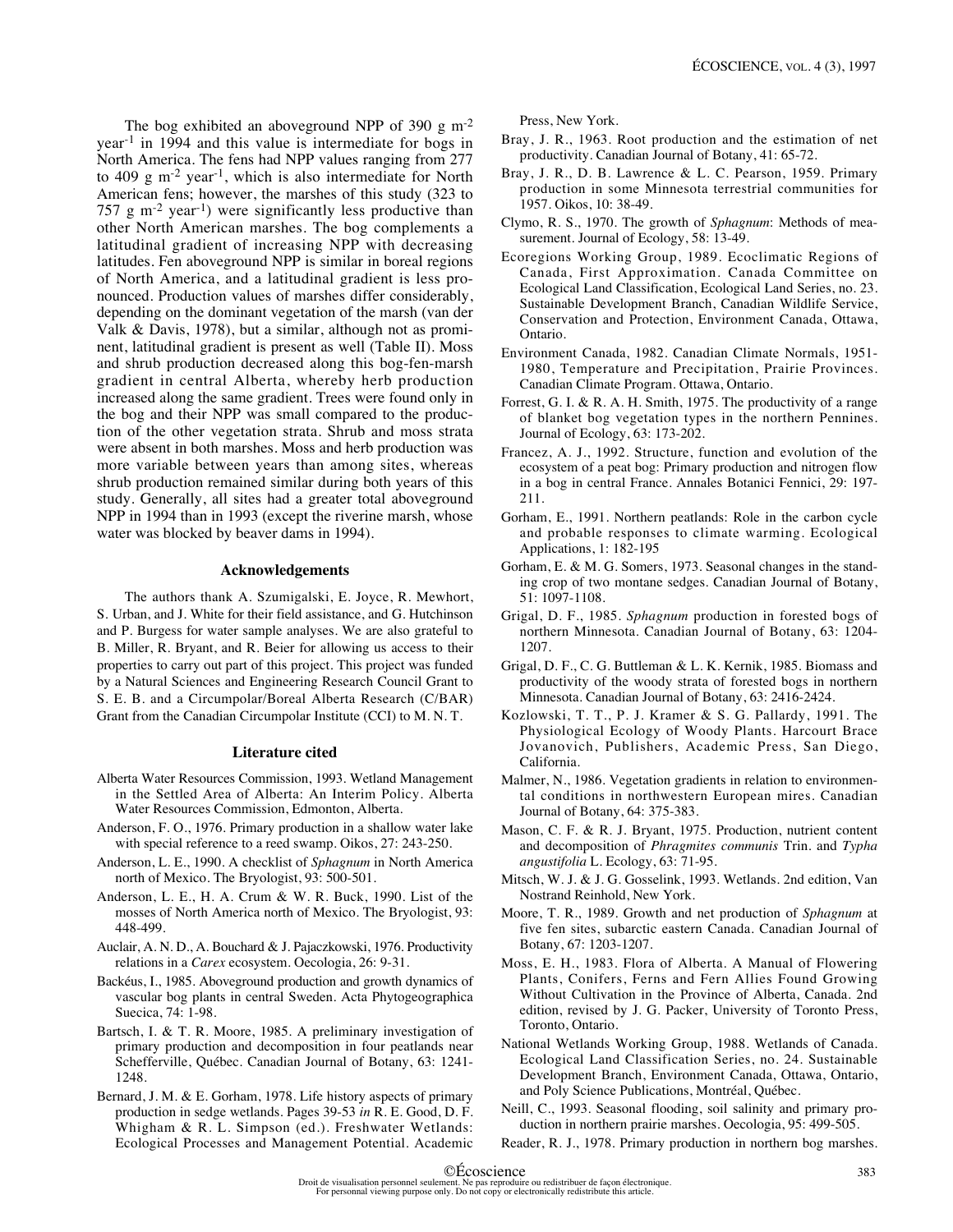The bog exhibited an aboveground NPP of 390 g  $\text{m}$ <sup>-2</sup> year-1 in 1994 and this value is intermediate for bogs in North America. The fens had NPP values ranging from 277 to 409  $\rm g$  m<sup>-2</sup> year<sup>-1</sup>, which is also intermediate for North American fens; however, the marshes of this study (323 to 757  $g$  m<sup>-2</sup> year<sup>-1</sup>) were significantly less productive than other North American marshes. The bog complements a latitudinal gradient of increasing NPP with decreasing latitudes. Fen aboveground NPP is similar in boreal regions of North America, and a latitudinal gradient is less pronounced. Production values of marshes differ considerably, depending on the dominant vegetation of the marsh (van der Valk & Davis, 1978), but a similar, although not as prominent, latitudinal gradient is present as well (Table II). Moss and shrub production decreased along this bog-fen-marsh gradient in central Alberta, whereby herb production increased along the same gradient. Trees were found only in the bog and their NPP was small compared to the production of the other vegetation strata. Shrub and moss strata were absent in both marshes. Moss and herb production was more variable between years than among sites, whereas shrub production remained similar during both years of this study. Generally, all sites had a greater total aboveground NPP in 1994 than in 1993 (except the riverine marsh, whose water was blocked by beaver dams in 1994).

#### **Acknowledgements**

The authors thank A. Szumigalski, E. Joyce, R. Mewhort, S. Urban, and J. White for their field assistance, and G. Hutchinson and P. Burgess for water sample analyses. We are also grateful to B. Miller, R. Bryant, and R. Beier for allowing us access to their properties to carry out part of this project. This project was funded by a Natural Sciences and Engineering Research Council Grant to S. E. B. and a Circumpolar/Boreal Alberta Research (C/BAR) Grant from the Canadian Circumpolar Institute (CCI) to M. N. T.

#### **Literature cited**

- Alberta Water Resources Commission, 1993. Wetland Management in the Settled Area of Alberta: An Interim Policy. Alberta Water Resources Commission, Edmonton, Alberta.
- Anderson, F. O., 1976. Primary production in a shallow water lake with special reference to a reed swamp. Oikos, 27: 243-250.
- Anderson, L. E., 1990. A checklist of *Sphagnum* in North America north of Mexico. The Bryologist, 93: 500-501.
- Anderson, L. E., H. A. Crum & W. R. Buck, 1990. List of the mosses of North America north of Mexico. The Bryologist, 93: 448-499.
- Auclair, A. N. D., A. Bouchard & J. Pajaczkowski, 1976. Productivity relations in a *Carex* ecosystem. Oecologia, 26: 9-31.
- Backéus, I., 1985. Aboveground production and growth dynamics of vascular bog plants in central Sweden. Acta Phytogeographica Suecica, 74: 1-98.
- Bartsch, I. & T. R. Moore, 1985. A preliminary investigation of primary production and decomposition in four peatlands near Schefferville, Québec. Canadian Journal of Botany, 63: 1241- 1248.
- Bernard, J. M. & E. Gorham, 1978. Life history aspects of primary production in sedge wetlands. Pages 39-53 *in* R. E. Good, D. F. Whigham & R. L. Simpson (ed.). Freshwater Wetlands: Ecological Processes and Management Potential. Academic

Press, New York.

- Bray, J. R., 1963. Root production and the estimation of net productivity. Canadian Journal of Botany, 41: 65-72.
- Bray, J. R., D. B. Lawrence & L. C. Pearson, 1959. Primary production in some Minnesota terrestrial communities for 1957. Oikos, 10: 38-49.
- Clymo, R. S., 1970. The growth of *Sphagnum*: Methods of measurement. Journal of Ecology, 58: 13-49.
- Ecoregions Working Group, 1989. Ecoclimatic Regions of Canada, First Approximation. Canada Committee on Ecological Land Classification, Ecological Land Series, no. 23. Sustainable Development Branch, Canadian Wildlife Service, Conservation and Protection, Environment Canada, Ottawa, Ontario.
- Environment Canada, 1982. Canadian Climate Normals, 1951- 1980, Temperature and Precipitation, Prairie Provinces. Canadian Climate Program. Ottawa, Ontario.
- Forrest, G. I. & R. A. H. Smith, 1975. The productivity of a range of blanket bog vegetation types in the northern Pennines. Journal of Ecology, 63: 173-202.
- Francez, A. J., 1992. Structure, function and evolution of the ecosystem of a peat bog: Primary production and nitrogen flow in a bog in central France. Annales Botanici Fennici, 29: 197- 211.
- Gorham, E., 1991. Northern peatlands: Role in the carbon cycle and probable responses to climate warming. Ecological Applications, 1: 182-195
- Gorham, E. & M. G. Somers, 1973. Seasonal changes in the standing crop of two montane sedges. Canadian Journal of Botany, 51: 1097-1108.
- Grigal, D. F., 1985. *Sphagnum* production in forested bogs of northern Minnesota. Canadian Journal of Botany, 63: 1204- 1207.
- Grigal, D. F., C. G. Buttleman & L. K. Kernik, 1985. Biomass and productivity of the woody strata of forested bogs in northern Minnesota. Canadian Journal of Botany, 63: 2416-2424.
- Kozlowski, T. T., P. J. Kramer & S. G. Pallardy, 1991. The Physiological Ecology of Woody Plants. Harcourt Brace Jovanovich, Publishers, Academic Press, San Diego, California.
- Malmer, N., 1986. Vegetation gradients in relation to environmental conditions in northwestern European mires. Canadian Journal of Botany, 64: 375-383.
- Mason, C. F. & R. J. Bryant, 1975. Production, nutrient content and decomposition of *Phragmites communis* Trin. and *Typha angustifolia* L. Ecology, 63: 71-95.
- Mitsch, W. J. & J. G. Gosselink, 1993. Wetlands. 2nd edition, Van Nostrand Reinhold, New York.
- Moore, T. R., 1989. Growth and net production of *Sphagnum* at five fen sites, subarctic eastern Canada. Canadian Journal of Botany, 67: 1203-1207.
- Moss, E. H., 1983. Flora of Alberta. A Manual of Flowering Plants, Conifers, Ferns and Fern Allies Found Growing Without Cultivation in the Province of Alberta, Canada. 2nd edition, revised by J. G. Packer, University of Toronto Press, Toronto, Ontario.
- National Wetlands Working Group, 1988. Wetlands of Canada. Ecological Land Classification Series, no. 24. Sustainable Development Branch, Environment Canada, Ottawa, Ontario, and Poly Science Publications, Montréal, Québec.
- Neill, C., 1993. Seasonal flooding, soil salinity and primary production in northern prairie marshes. Oecologia, 95: 499-505.
- Reader, R. J., 1978. Primary production in northern bog marshes.